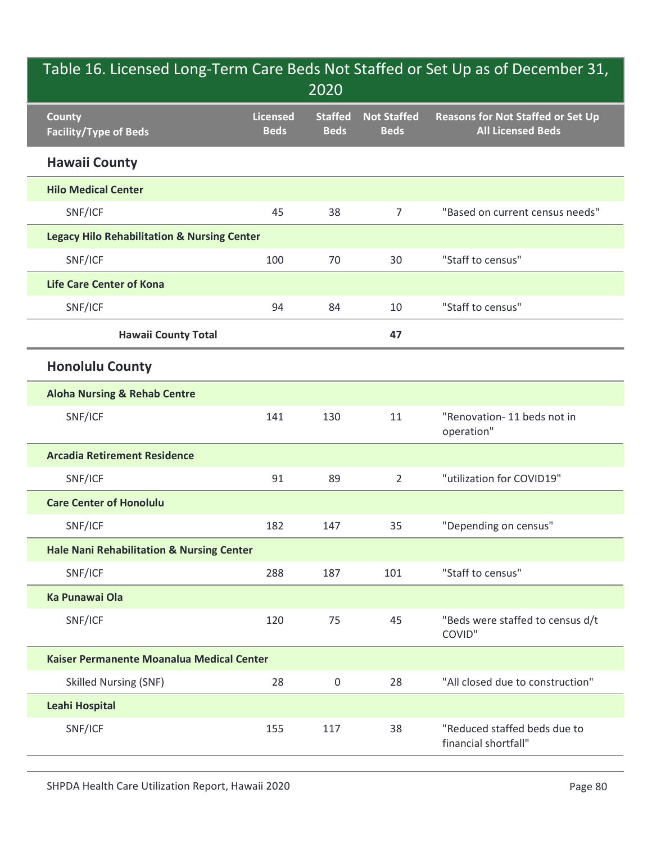| Table 16. Licensed Long-Term Care Beds Not Staffed or Set Up as of December 31,<br>2020 |                                |                               |                                   |                                                                      |  |  |  |
|-----------------------------------------------------------------------------------------|--------------------------------|-------------------------------|-----------------------------------|----------------------------------------------------------------------|--|--|--|
| <b>County</b><br><b>Facility/Type of Beds</b>                                           | <b>Licensed</b><br><b>Beds</b> | <b>Staffed</b><br><b>Beds</b> | <b>Not Staffed</b><br><b>Beds</b> | <b>Reasons for Not Staffed or Set Up</b><br><b>All Licensed Beds</b> |  |  |  |
| <b>Hawaii County</b>                                                                    |                                |                               |                                   |                                                                      |  |  |  |
| <b>Hilo Medical Center</b>                                                              |                                |                               |                                   |                                                                      |  |  |  |
| SNF/ICF                                                                                 | 45                             | 38                            | $\overline{7}$                    | "Based on current census needs"                                      |  |  |  |
| <b>Legacy Hilo Rehabilitation &amp; Nursing Center</b>                                  |                                |                               |                                   |                                                                      |  |  |  |
| SNF/ICF                                                                                 | 100                            | 70                            | 30                                | "Staff to census"                                                    |  |  |  |
| <b>Life Care Center of Kona</b>                                                         |                                |                               |                                   |                                                                      |  |  |  |
| SNF/ICF                                                                                 | 94                             | 84                            | 10                                | "Staff to census"                                                    |  |  |  |
| <b>Hawaii County Total</b>                                                              |                                |                               | 47                                |                                                                      |  |  |  |
| <b>Honolulu County</b>                                                                  |                                |                               |                                   |                                                                      |  |  |  |
| <b>Aloha Nursing &amp; Rehab Centre</b>                                                 |                                |                               |                                   |                                                                      |  |  |  |
| SNF/ICF                                                                                 | 141                            | 130                           | 11                                | "Renovation- 11 beds not in<br>operation"                            |  |  |  |
| <b>Arcadia Retirement Residence</b>                                                     |                                |                               |                                   |                                                                      |  |  |  |
| SNF/ICF                                                                                 | 91                             | 89                            | $\overline{2}$                    | "utilization for COVID19"                                            |  |  |  |
| <b>Care Center of Honolulu</b>                                                          |                                |                               |                                   |                                                                      |  |  |  |
| SNF/ICF                                                                                 | 182                            | 147                           | 35                                | "Depending on census"                                                |  |  |  |
| Hale Nani Rehabilitation & Nursing Center                                               |                                |                               |                                   |                                                                      |  |  |  |
| SNF/ICF                                                                                 | 288                            | 187                           | 101                               | "Staff to census"                                                    |  |  |  |
| <b>Ka Punawai Ola</b>                                                                   |                                |                               |                                   |                                                                      |  |  |  |
| SNF/ICF                                                                                 | 120                            | 75                            | 45                                | "Beds were staffed to census d/t<br>COVID"                           |  |  |  |
| Kaiser Permanente Moanalua Medical Center                                               |                                |                               |                                   |                                                                      |  |  |  |
| <b>Skilled Nursing (SNF)</b>                                                            | 28                             | 0                             | 28                                | "All closed due to construction"                                     |  |  |  |
| <b>Leahi Hospital</b>                                                                   |                                |                               |                                   |                                                                      |  |  |  |
| SNF/ICF                                                                                 | 155                            | 117                           | 38                                | "Reduced staffed beds due to<br>financial shortfall"                 |  |  |  |